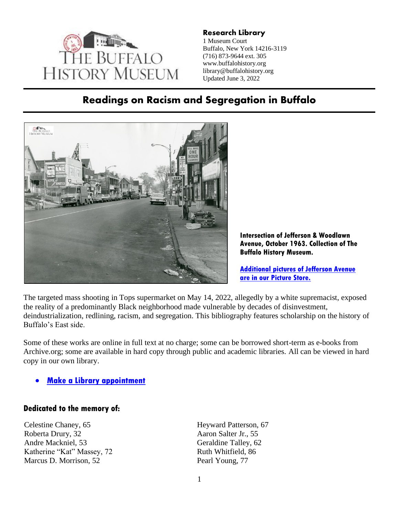

**Research Library** 1 Museum Court Buffalo, New York 14216-3119 (716) 873-9644 ext. 305 www.buffalohistory.org library@buffalohistory.org Updated June 3, 2022

## **Readings on Racism and Segregation in Buffalo**



**Intersection of Jefferson & Woodlawn Avenue, October 1963. Collection of The Buffalo History Museum.**

**[Additional pictures of Jefferson Avenue](https://buffalohistory.smugmug.com/keyword/jefferson%20avenue)  [are in our Picture Store.](https://buffalohistory.smugmug.com/keyword/jefferson%20avenue)**

The targeted mass shooting in Tops supermarket on May 14, 2022, allegedly by a white supremacist, exposed the reality of a predominantly Black neighborhood made vulnerable by decades of disinvestment, deindustrialization, redlining, racism, and segregation. This bibliography features scholarship on the history of Buffalo's East side.

Some of these works are online in full text at no charge; some can be borrowed short-term as e-books from Archive.org; some are available in hard copy through public and academic libraries. All can be viewed in hard copy in our own library.

#### • **[Make a Library appointment](https://calendly.com/tbhm-research-library)**

#### **Dedicated to the memory of:**

Celestine Chaney, 65 Roberta Drury, 32 Andre Mackniel, 53 Katherine "Kat" Massey, 72 Marcus D. Morrison, 52

Heyward Patterson, 67 Aaron Salter Jr., 55 Geraldine Talley, 62 Ruth Whitfield, 86 Pearl Young, 77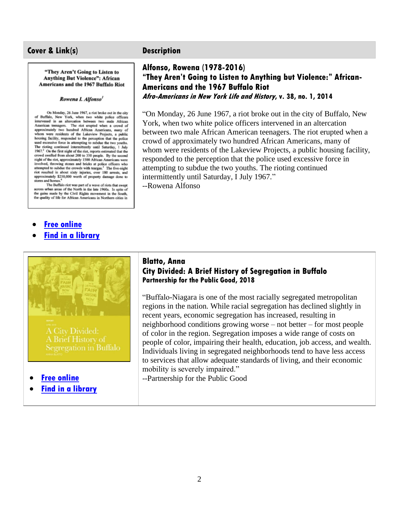"They Aren't Going to Listen to **Anything But Violence": African** Americans and the 1967 Buffalo Riot

#### Rowena I. Alfonso<sup>1</sup>

On Monday, 26 June 1967, a riot broke out in the city<br>of Buffalo, New York, when two white police officers intervened in an altercation between two male African<br>American teenagers. The riot erupted when a crowd of approximately two hundred African Americans, many of hom were residents of the Lakeview Projects, a public housing facility, responded to the perception that the police<br>used excessive force in attempting to subdue the two youths. The rioting continued intermittently until Saturday, 1 July 1967.<sup>2</sup> On the first night of the riot, reports estimated that the crowd swelled from about 200 to 350 people. By the second<br>night of the riot, approximately 1500 African Americans were involved, throwing stones and bricks at police officers who attempted to subdue the crowds with teargas.<sup>3</sup> The five-night riot resulted in about sixty injuries, over 180 arrests, and approximately \$250,000 worth of property damage done to stores and homes.

The Buffalo riot was part of a wave of riots that swept<br>across urban areas of the North in the late 1960s. In spite of the gains made by the Civil Rights movement in the South,<br>the quality of life for African Americans in Northern cities in

- **[Free online](https://www.thefreelibrary.com/%22They+Aren%27t+Going+to+Listen+to+Anything+But+Violence%22:+African...-a0367134146)**
- **[Find in a library](http://www.worldcat.org/oclc/1047604538)**



- **[Free online](https://ppgbuffalo.org/buffalo-commons/library/resource:a-city-divided-a-brief-history-of-segregation-in-buffalo-1/)**
- **[Find in a library](http://www.worldcat.org/oclc/1047604536)**

#### **Alfonso, Rowena (1978-2016) "They Aren't Going to Listen to Anything but Violence:" African-Americans and the 1967 Buffalo Riot Afro-Americans in New York Life and History, v. 38, no. 1, 2014**

"On Monday, 26 June 1967, a riot broke out in the city of Buffalo, New York, when two white police officers intervened in an altercation between two male African American teenagers. The riot erupted when a crowd of approximately two hundred African Americans, many of whom were residents of the Lakeview Projects, a public housing facility, responded to the perception that the police used excessive force in attempting to subdue the two youths. The rioting continued intermittently until Saturday, I July 1967."

--Rowena Alfonso

#### **Blatto, Anna City Divided: A Brief History of Segregation in Buffalo Partnership for the Public Good, 2018**

"Buffalo-Niagara is one of the most racially segregated metropolitan regions in the nation. While racial segregation has declined slightly in recent years, economic segregation has increased, resulting in neighborhood conditions growing worse – not better – for most people of color in the region. Segregation imposes a wide range of costs on people of color, impairing their health, education, job access, and wealth. Individuals living in segregated neighborhoods tend to have less access to services that allow adequate standards of living, and their economic mobility is severely impaired."

--Partnership for the Public Good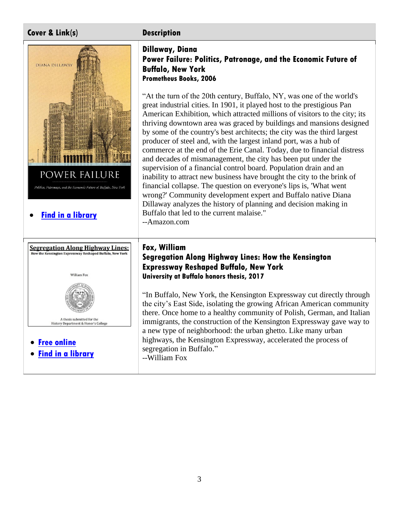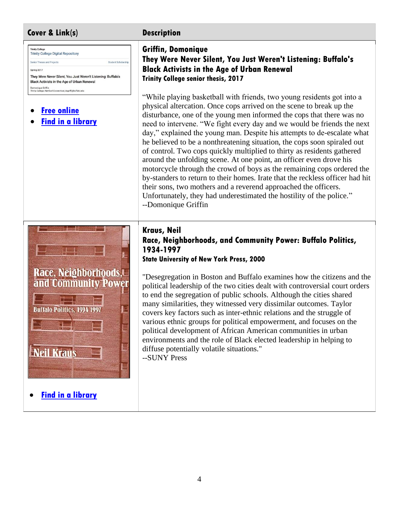

• **[Find in a library](http://www.worldcat.org/oclc/1105418895)**

# **Griffin, Domonique**

**They Were Never Silent, You Just Weren't Listening: Buffalo's Black Activists in the Age of Urban Renewal Trinity College senior thesis, 2017**

"While playing basketball with friends, two young residents got into a physical altercation. Once cops arrived on the scene to break up the disturbance, one of the young men informed the cops that there was no need to intervene. "We fight every day and we would be friends the next day," explained the young man. Despite his attempts to de-escalate what he believed to be a nonthreatening situation, the cops soon spiraled out of control. Two cops quickly multiplied to thirty as residents gathered around the unfolding scene. At one point, an officer even drove his motorcycle through the crowd of boys as the remaining cops ordered the by-standers to return to their homes. Irate that the reckless officer had hit their sons, two mothers and a reverend approached the officers. Unfortunately, they had underestimated the hostility of the police." --Domonique Griffin

#### **Kraus, Neil Race, Neighborhoods, and Community Power: Buffalo Politics, 1934-1997 State University of New York Press, 2000**

"Desegregation in Boston and Buffalo examines how the citizens and the political leadership of the two cities dealt with controversial court orders to end the segregation of public schools. Although the cities shared many similarities, they witnessed very dissimilar outcomes. Taylor covers key factors such as inter-ethnic relations and the struggle of various ethnic groups for political empowerment, and focuses on the political development of African American communities in urban environments and the role of Black elected leadership in helping to diffuse potentially volatile situations."

--SUNY Press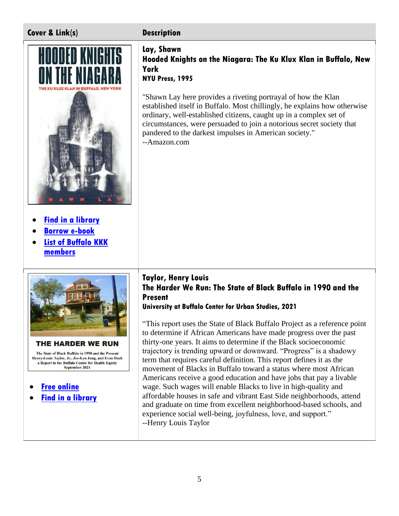



- **[Find in a library](http://www.worldcat.org/oclc/782877996)**
- **[Borrow e-book](https://archive.org/details/hoodedknightsonn0000lays)**
- **List of Buffalo KKK [members](https://nyheritage.org/collections/buffalo-ku-klux-klan-chapter-list-members)**



The State of Black Buffalo in 1990 and the Present Henry-Louis Taylor, Jr., Jin-Kyu Jung, and Evan Dash a Report to the Buffalo Center for Health Equity September 2021

- **[Free online](https://www.investigativepost.org/wp-content/uploads/2021/10/TaylorHL-The-Harder-We-Run.pdf)**
- **[Find in a library](http://www.worldcat.org/oclc/1322472249)**

#### **Lay, Shawn Hooded Knights on the Niagara: The Ku Klux Klan in Buffalo, New York NYU Press, 1995**

"Shawn Lay here provides a riveting portrayal of how the Klan established itself in Buffalo. Most chillingly, he explains how otherwise ordinary, well-established citizens, caught up in a complex set of circumstances, were persuaded to join a notorious secret society that pandered to the darkest impulses in American society." --Amazon.com

### **Taylor, Henry Louis The Harder We Run: The State of Black Buffalo in 1990 and the Present**

**University at Buffalo Center for Urban Studies, 2021**

"This report uses the State of Black Buffalo Project as a reference point to determine if African Americans have made progress over the past thirty-one years. It aims to determine if the Black socioeconomic trajectory is trending upward or downward. "Progress" is a shadowy term that requires careful definition. This report defines it as the movement of Blacks in Buffalo toward a status where most African Americans receive a good education and have jobs that pay a livable wage. Such wages will enable Blacks to live in high-quality and affordable houses in safe and vibrant East Side neighborhoods, attend and graduate on time from excellent neighborhood-based schools, and experience social well-being, joyfulness, love, and support." --Henry Louis Taylor